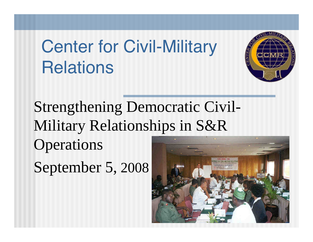## Center for Civil-Military Relations



Strengthening Democratic Civil-Military Relationships in S&R Operations

September 5, <sup>2008</sup>

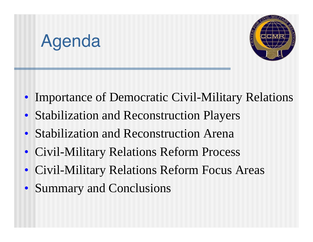



- Importance of Democratic Civil-Military Relations
- Stabilization and Reconstruction Players
- Stabilization and Reconstruction Arena
- Civil-Military Relations Reform Process
- Civil-Military Relations Reform Focus Areas
- Summary and Conclusions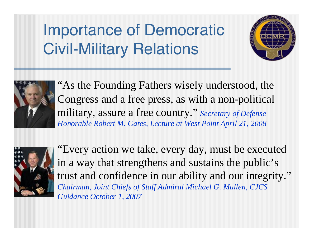## Importance of Democratic Civil-Military Relations





"As the Founding Fathers wisely understood, the Congress and a free press, as with a non-political military, assure a free country." *Secretary of Defense Honorable Robert M. Gates, Lecture at West Point April 21, 2008*



"Every action we take, every day, must be executed in a way that strengthens and sustains the public's trust and confidence in our ability and our integrity." *Chairman, Joint Chiefs of Staff Admiral Michael G. Mullen, CJCS Guidance October 1, 2007*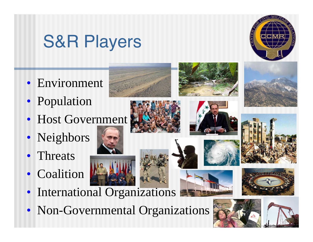# S&R Players

- Environment
- Population
- Host Government
- Neighbors
- Threats
- Coalition



















• Non-Governmental Organizations

• International Organizations



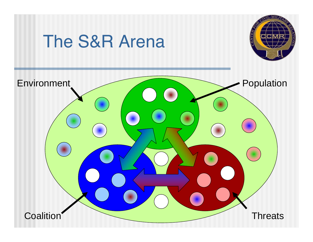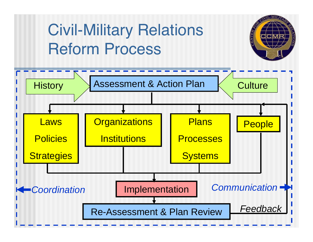#### Civil-Military Relations Reform Process



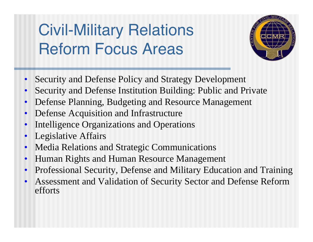## Civil-Military Relations Reform Focus Areas



- •Security and Defense Policy and Strategy Development
- •Security and Defense Institution Building: Public and Private
- •Defense Planning, Budgeting and Resource Management
- •Defense Acquisition and Infrastructure
- •Intelligence Organizations and Operations
- •Legislative Affairs
- •Media Relations and Strategic Communications
- •Human Rights and Human Resource Management
- •Professional Security, Defense and Military Education and Training
- • Assessment and Validation of Security Sector and Defense Reform efforts